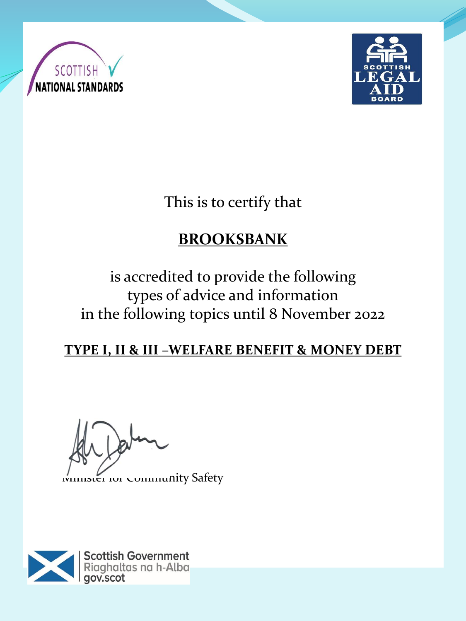



This is to certify that

# **BROOKSBANK**

is accredited to provide the following types of advice and information in the following topics until 8 November 2022

### **TYPE I, II & III –WELFARE BENEFIT & MONEY DEBT**

 $P^{\circ}$ 

mister for Community Safety

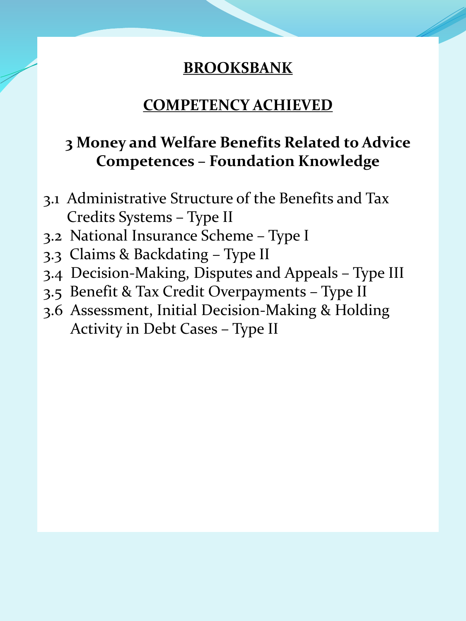#### **COMPETENCY ACHIEVED**

## **3 Money and Welfare Benefits Related to Advice Competences – Foundation Knowledge**

- 3.1 Administrative Structure of the Benefits and Tax Credits Systems – Type II
- 3.2 National Insurance Scheme Type I
- 3.3 Claims & Backdating Type II
- 3.4 Decision-Making, Disputes and Appeals Type III
- 3.5 Benefit & Tax Credit Overpayments Type II
- 3.6 Assessment, Initial Decision-Making & Holding Activity in Debt Cases – Type II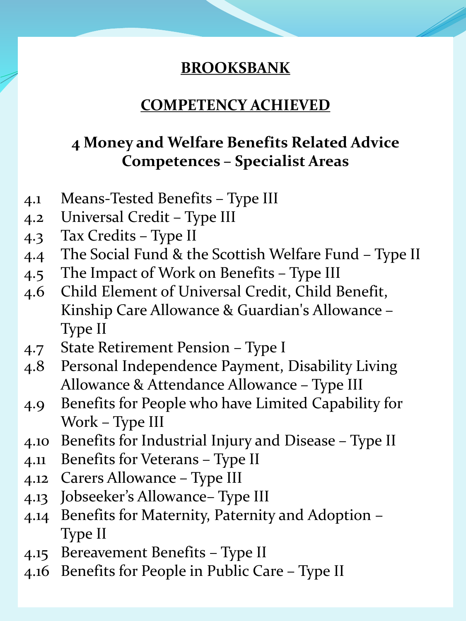### **COMPETENCY ACHIEVED**

## **4 Money and Welfare Benefits Related Advice Competences – Specialist Areas**

- 4.1 Means-Tested Benefits Type III
- 4.2 Universal Credit Type III
- 4.3 Tax Credits Type II
- 4.4 The Social Fund & the Scottish Welfare Fund Type II
- 4.5 The Impact of Work on Benefits Type III
- 4.6 Child Element of Universal Credit, Child Benefit, Kinship Care Allowance & Guardian's Allowance – Type II
- 4.7 State Retirement Pension Type I
- 4.8 Personal Independence Payment, Disability Living Allowance & Attendance Allowance – Type III
- 4.9 Benefits for People who have Limited Capability for Work – Type III
- 4.10 Benefits for Industrial Injury and Disease Type II
- 4.11 Benefits for Veterans Type II
- 4.12 Carers Allowance Type III
- 4.13 Jobseeker's Allowance– Type III
- 4.14 Benefits for Maternity, Paternity and Adoption Type II
- 4.15 Bereavement Benefits Type II
- 4.16 Benefits for People in Public Care Type II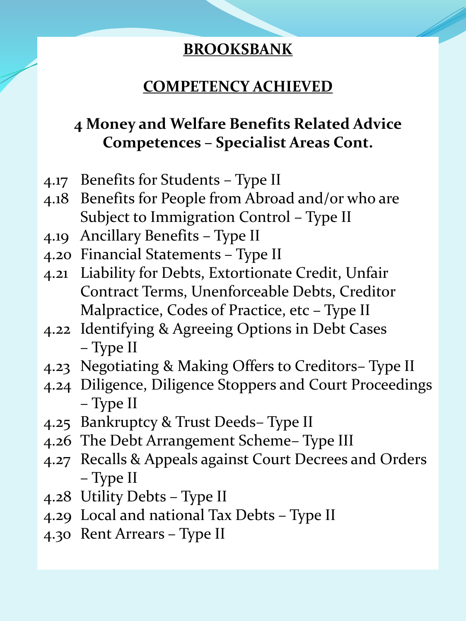## **COMPETENCY ACHIEVED**

# **4 Money and Welfare Benefits Related Advice Competences – Specialist Areas Cont.**

- 4.17 Benefits for Students Type II
- 4.18 Benefits for People from Abroad and/or who are Subject to Immigration Control – Type II
- 4.19 Ancillary Benefits Type II
- 4.20 Financial Statements Type II
- 4.21 Liability for Debts, Extortionate Credit, Unfair Contract Terms, Unenforceable Debts, Creditor Malpractice, Codes of Practice, etc – Type II
- 4.22 Identifying & Agreeing Options in Debt Cases – Type II
- 4.23 Negotiating & Making Offers to Creditors– Type II
- 4.24 Diligence, Diligence Stoppers and Court Proceedings – Type II
- 4.25 Bankruptcy & Trust Deeds– Type II
- 4.26 The Debt Arrangement Scheme– Type III
- 4.27 Recalls & Appeals against Court Decrees and Orders – Type II
- 4.28 Utility Debts Type II
- 4.29 Local and national Tax Debts Type II
- 4.30 Rent Arrears Type II